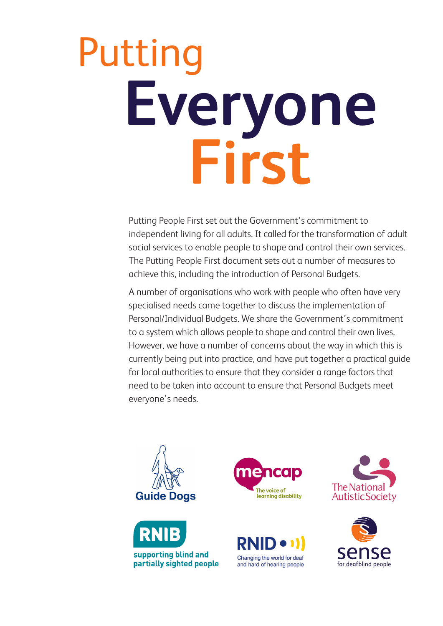Putting People First set out the Government's commitment to independent living for all adults. It called for the transformation of adult social services to enable people to shape and control their own services. The Putting People First document sets out a number of measures to achieve this, including the introduction of Personal Budgets.

A number of organisations who work with people who often have very specialised needs came together to discuss the implementation of Personal/Individual Budgets. We share the Government's commitment to a system which allows people to shape and control their own lives. However, we have a number of concerns about the way in which this is currently being put into practice, and have put together a practical guide for local authorities to ensure that they consider a range factors that need to be taken into account to ensure that Personal Budgets meet everyone's needs.











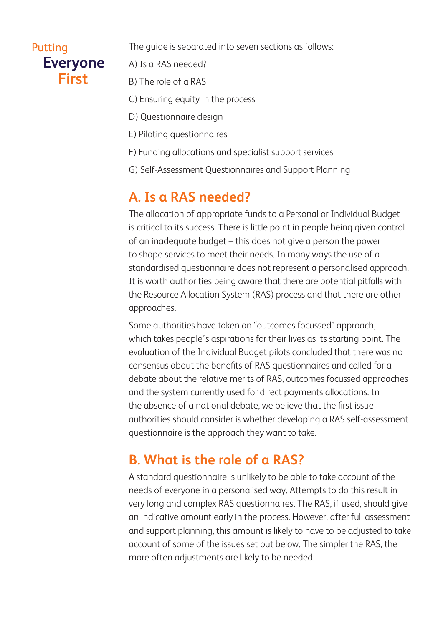The guide is separated into seven sections as follows:

- A) Is a RAS needed?
- B) The role of a RAS
- C) Ensuring equity in the process
- D) Questionnaire design
- E) Piloting questionnaires
- F) Funding allocations and specialist support services
- G) Self-Assessment Questionnaires and Support Planning

# **A. Is a RAS needed?**

The allocation of appropriate funds to a Personal or Individual Budget is critical to its success. There is little point in people being given control of an inadequate budget – this does not give a person the power to shape services to meet their needs. In many ways the use of a standardised questionnaire does not represent a personalised approach. It is worth authorities being aware that there are potential pitfalls with the Resource Allocation System (RAS) process and that there are other approaches.

Some authorities have taken an "outcomes focussed" approach, which takes people's aspirations for their lives as its starting point. The evaluation of the Individual Budget pilots concluded that there was no consensus about the benefits of RAS questionnaires and called for a debate about the relative merits of RAS, outcomes focussed approaches and the system currently used for direct payments allocations. In the absence of a national debate, we believe that the first issue authorities should consider is whether developing a RAS self-assessment questionnaire is the approach they want to take.

# **B. What is the role of a RAS?**

A standard questionnaire is unlikely to be able to take account of the needs of everyone in a personalised way. Attempts to do this result in very long and complex RAS questionnaires. The RAS, if used, should give an indicative amount early in the process. However, after full assessment and support planning, this amount is likely to have to be adjusted to take account of some of the issues set out below. The simpler the RAS, the more often adjustments are likely to be needed.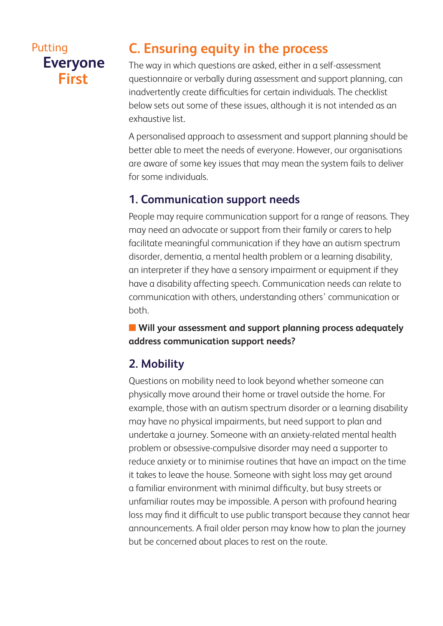# **C. Ensuring equity in the process**

The way in which questions are asked, either in a self-assessment questionnaire or verbally during assessment and support planning, can inadvertently create difficulties for certain individuals. The checklist below sets out some of these issues, although it is not intended as an exhaustive list.

A personalised approach to assessment and support planning should be better able to meet the needs of everyone. However, our organisations are aware of some key issues that may mean the system fails to deliver for some individuals.

#### **1. Communication support needs**

People may require communication support for a range of reasons. They may need an advocate or support from their family or carers to help facilitate meaningful communication if they have an autism spectrum disorder, dementia, a mental health problem or a learning disability, an interpreter if they have a sensory impairment or equipment if they have a disability affecting speech. Communication needs can relate to communication with others, understanding others' communication or both.

**n** Will your assessment and support planning process adequately **address communication support needs?**

## **2. Mobility**

Questions on mobility need to look beyond whether someone can physically move around their home or travel outside the home. For example, those with an autism spectrum disorder or a learning disability may have no physical impairments, but need support to plan and undertake a journey. Someone with an anxiety-related mental health problem or obsessive-compulsive disorder may need a supporter to reduce anxiety or to minimise routines that have an impact on the time it takes to leave the house. Someone with sight loss may get around a familiar environment with minimal difficulty, but busy streets or unfamiliar routes may be impossible. A person with profound hearing loss may find it difficult to use public transport because they cannot hear announcements. A frail older person may know how to plan the journey but be concerned about places to rest on the route.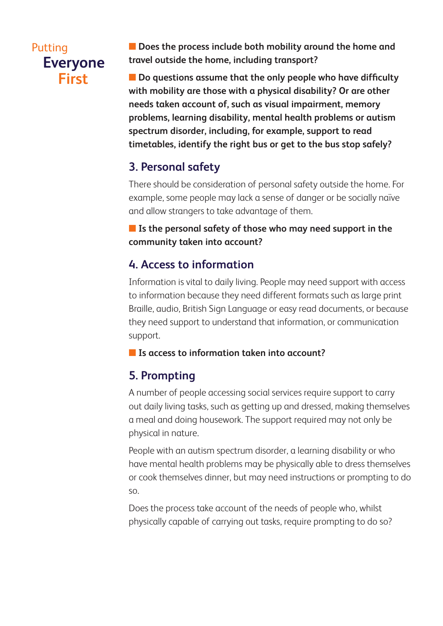**n** Does the process include both mobility around the home and **travel outside the home, including transport?**

**n** Do questions assume that the only people who have difficulty **with mobility are those with a physical disability? Or are other needs taken account of, such as visual impairment, memory problems, learning disability, mental health problems or autism spectrum disorder, including, for example, support to read timetables, identify the right bus or get to the bus stop safely?**

## **3. Personal safety**

There should be consideration of personal safety outside the home. For example, some people may lack a sense of danger or be socially naïve and allow strangers to take advantage of them.

#### **n** Is the personal safety of those who may need support in the **community taken into account?**

#### **4. Access to information**

Information is vital to daily living. People may need support with access to information because they need different formats such as large print Braille, audio, British Sign Language or easy read documents, or because they need support to understand that information, or communication support.

#### **n** Is access to information taken into account?

#### **5. Prompting**

A number of people accessing social services require support to carry out daily living tasks, such as getting up and dressed, making themselves a meal and doing housework. The support required may not only be physical in nature.

People with an autism spectrum disorder, a learning disability or who have mental health problems may be physically able to dress themselves or cook themselves dinner, but may need instructions or prompting to do so.

Does the process take account of the needs of people who, whilst physically capable of carrying out tasks, require prompting to do so?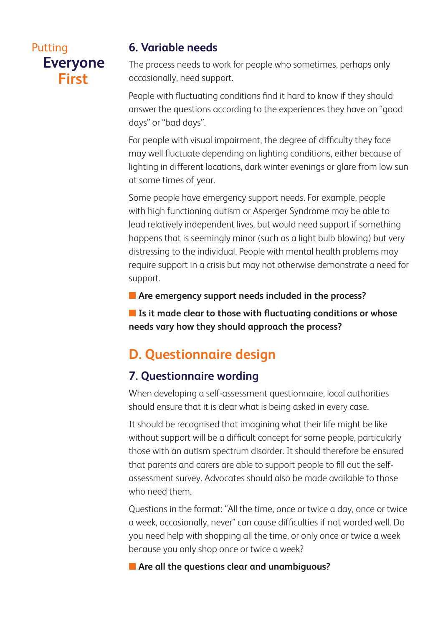#### **6. Variable needs**

The process needs to work for people who sometimes, perhaps only occasionally, need support.

People with fluctuating conditions find it hard to know if they should answer the questions according to the experiences they have on "good days" or "bad days".

For people with visual impairment, the degree of difficulty they face may well fluctuate depending on lighting conditions, either because of lighting in different locations, dark winter evenings or glare from low sun at some times of year.

Some people have emergency support needs. For example, people with high functioning autism or Asperger Syndrome may be able to lead relatively independent lives, but would need support if something happens that is seemingly minor (such as a light bulb blowing) but very distressing to the individual. People with mental health problems may require support in a crisis but may not otherwise demonstrate a need for support.

**n** Are emergency support needs included in the process?

■ Is it made clear to those with fluctuating conditions or whose **needs vary how they should approach the process?**

# **D. Questionnaire design**

## **7. Questionnaire wording**

When developing a self-assessment questionnaire, local authorities should ensure that it is clear what is being asked in every case.

It should be recognised that imagining what their life might be like without support will be a difficult concept for some people, particularly those with an autism spectrum disorder. It should therefore be ensured that parents and carers are able to support people to fill out the selfassessment survey. Advocates should also be made available to those who need them.

Questions in the format: "All the time, once or twice a day, once or twice a week, occasionally, never" can cause difficulties if not worded well. Do you need help with shopping all the time, or only once or twice a week because you only shop once or twice a week?

**n** Are all the questions clear and unambiguous?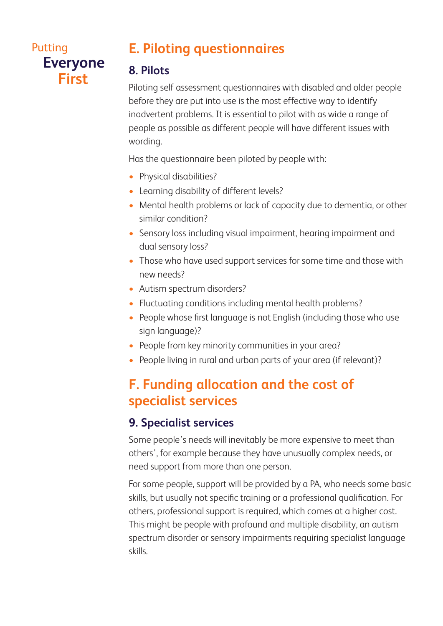# **E. Piloting questionnaires**

#### **8. Pilots**

Piloting self assessment questionnaires with disabled and older people before they are put into use is the most effective way to identify inadvertent problems. It is essential to pilot with as wide a range of people as possible as different people will have different issues with wording.

Has the questionnaire been piloted by people with:

- Physical disabilities?
- Learning disability of different levels?
- Mental health problems or lack of capacity due to dementia, or other similar condition?
- Sensory loss including visual impairment, hearing impairment and dual sensory loss?
- Those who have used support services for some time and those with new needs?
- Autism spectrum disorders?
- Fluctuating conditions including mental health problems?
- People whose first language is not English (including those who use sign language)?
- People from key minority communities in your area?
- People living in rural and urban parts of your area (if relevant)?

# **F. Funding allocation and the cost of specialist services**

## **9. Specialist services**

Some people's needs will inevitably be more expensive to meet than others', for example because they have unusually complex needs, or need support from more than one person.

For some people, support will be provided by a PA, who needs some basic skills, but usually not specific training or a professional qualification. For others, professional support is required, which comes at a higher cost. This might be people with profound and multiple disability, an autism spectrum disorder or sensory impairments requiring specialist language skills.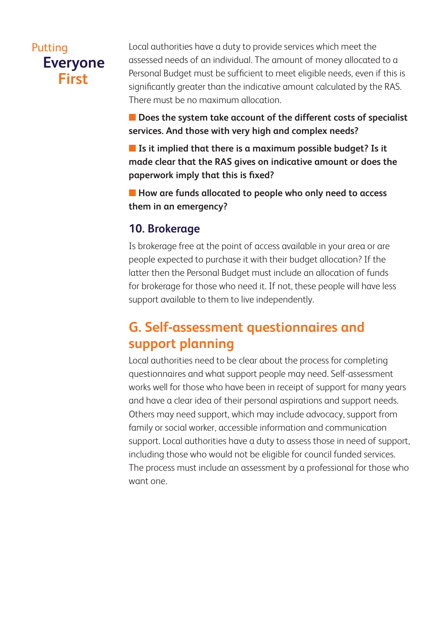Local authorities have a duty to provide services which meet the assessed needs of an individual. The amount of money allocated to a Personal Budget must be sufficient to meet eligible needs, even if this is significantly greater than the indicative amount calculated by the RAS. There must be no maximum allocation.

■ Does the system take account of the different costs of specialist **services. And those with very high and complex needs?** 

**n** Is it implied that there is a maximum possible budget? Is it **made clear that the RAS gives on indicative amount or does the paperwork imply that this is fixed?**

**n** How are funds allocated to people who only need to access **them in an emergency?**

#### **10. Brokerage**

Is brokerage free at the point of access available in your area or are people expected to purchase it with their budget allocation? If the latter then the Personal Budget must include an allocation of funds for brokerage for those who need it. If not, these people will have less support available to them to live independently.

# **G. Self-assessment questionnaires and support planning**

Local authorities need to be clear about the process for completing questionnaires and what support people may need. Self-assessment works well for those who have been in receipt of support for many years and have a clear idea of their personal aspirations and support needs. Others may need support, which may include advocacy, support from family or social worker, accessible information and communication support. Local authorities have a duty to assess those in need of support, including those who would not be eligible for council funded services. The process must include an assessment by a professional for those who want one.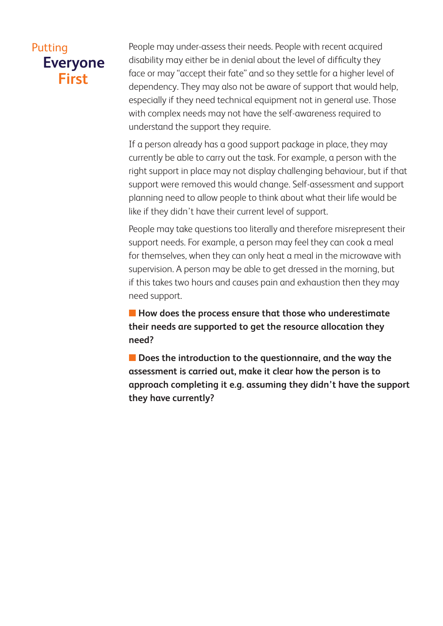People may under-assess their needs. People with recent acquired disability may either be in denial about the level of difficulty they face or may "accept their fate" and so they settle for a higher level of dependency. They may also not be aware of support that would help, especially if they need technical equipment not in general use. Those with complex needs may not have the self-awareness required to understand the support they require.

If a person already has a good support package in place, they may currently be able to carry out the task. For example, a person with the right support in place may not display challenging behaviour, but if that support were removed this would change. Self-assessment and support planning need to allow people to think about what their life would be like if they didn't have their current level of support.

People may take questions too literally and therefore misrepresent their support needs. For example, a person may feel they can cook a meal for themselves, when they can only heat a meal in the microwave with supervision. A person may be able to get dressed in the morning, but if this takes two hours and causes pain and exhaustion then they may need support.

**n** How does the process ensure that those who underestimate **their needs are supported to get the resource allocation they need?**

**n** Does the introduction to the questionnaire, and the way the **assessment is carried out, make it clear how the person is to approach completing it e.g. assuming they didn't have the support they have currently?**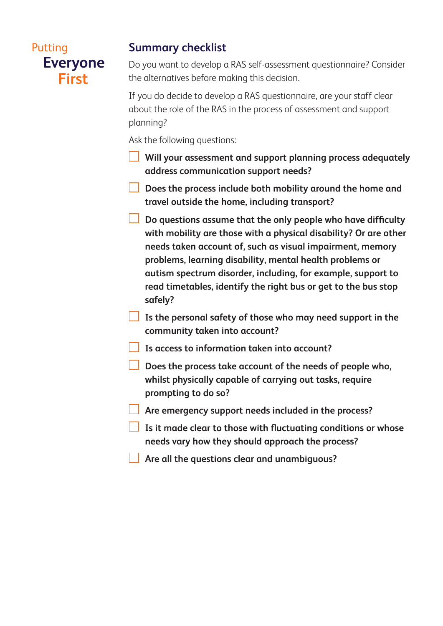#### **Summary checklist**

Do you want to develop a RAS self-assessment questionnaire? Consider the alternatives before making this decision.

If you do decide to develop a RAS questionnaire, are your staff clear about the role of the RAS in the process of assessment and support planning?

Ask the following questions:

- **Will your assessment and support planning process adequately address communication support needs?**
- **Does the process include both mobility around the home and travel outside the home, including transport?**
- **Do questions assume that the only people who have difficulty with mobility are those with a physical disability? Or are other needs taken account of, such as visual impairment, memory problems, learning disability, mental health problems or autism spectrum disorder, including, for example, support to read timetables, identify the right bus or get to the bus stop safely?**
- **Is the personal safety of those who may need support in the community taken into account?**
	- **Is access to information taken into account?**
- **Does the process take account of the needs of people who, whilst physically capable of carrying out tasks, require prompting to do so?**
- **Are emergency support needs included in the process?**
- **Is it made clear to those with fluctuating conditions or whose needs vary how they should approach the process?**
- **Are all the questions clear and unambiguous?**